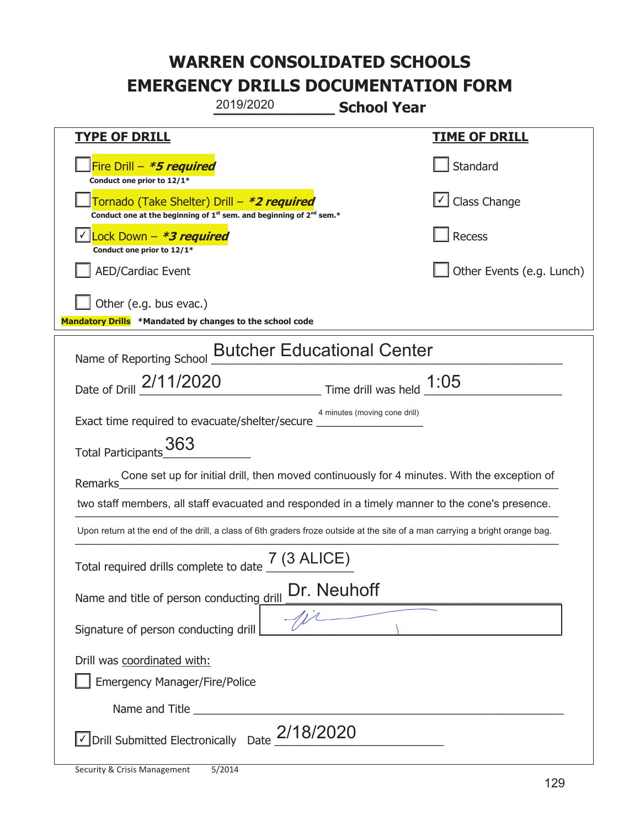| 2019/2020                                                                                                                                 | <b>School Year</b>                |                           |
|-------------------------------------------------------------------------------------------------------------------------------------------|-----------------------------------|---------------------------|
| <b>TYPE OF DRILL</b>                                                                                                                      |                                   | <u>TIME OF DRILL</u>      |
| Fire Drill - *5 required<br>Conduct one prior to 12/1*                                                                                    |                                   | Standard                  |
| Tornado (Take Shelter) Drill – *2 required<br>Conduct one at the beginning of 1 <sup>st</sup> sem. and beginning of 2 <sup>nd</sup> sem.* |                                   | √ Class Change            |
| Lock Down - <b>*3 required</b><br>Conduct one prior to 12/1*                                                                              |                                   | Recess                    |
| <b>AED/Cardiac Event</b>                                                                                                                  |                                   | Other Events (e.g. Lunch) |
| Other (e.g. bus evac.)<br>Mandatory Drills *Mandated by changes to the school code                                                        |                                   |                           |
| Name of Reporting School                                                                                                                  | <b>Butcher Educational Center</b> |                           |
| Date of Drill 2/11/2020                                                                                                                   | Time drill was held $1:05$        |                           |
| Exact time required to evacuate/shelter/secure _                                                                                          | 4 minutes (moving cone drill)     |                           |
| Total Participants 363                                                                                                                    |                                   |                           |
| Cone set up for initial drill, then moved continuously for 4 minutes. With the exception of<br>Remarks                                    |                                   |                           |
| two staff members, all staff evacuated and responded in a timely manner to the cone's presence.                                           |                                   |                           |
| Upon return at the end of the drill, a class of 6th graders froze outside at the site of a man carrying a bright orange bag.              |                                   |                           |
| Total required drills complete to date $\frac{7 (3 \text{ ALICE})}{4}$                                                                    |                                   |                           |
| Dr. Neuhoff<br>Name and title of person conducting drill                                                                                  |                                   |                           |
| Signature of person conducting drill                                                                                                      |                                   |                           |
| Drill was coordinated with:                                                                                                               |                                   |                           |
| <b>Emergency Manager/Fire/Police</b>                                                                                                      |                                   |                           |
|                                                                                                                                           |                                   |                           |
| $\sqrt{\rm D}$ rill Submitted Electronically Date $_{\rm c}$ 2/18/2020                                                                    |                                   |                           |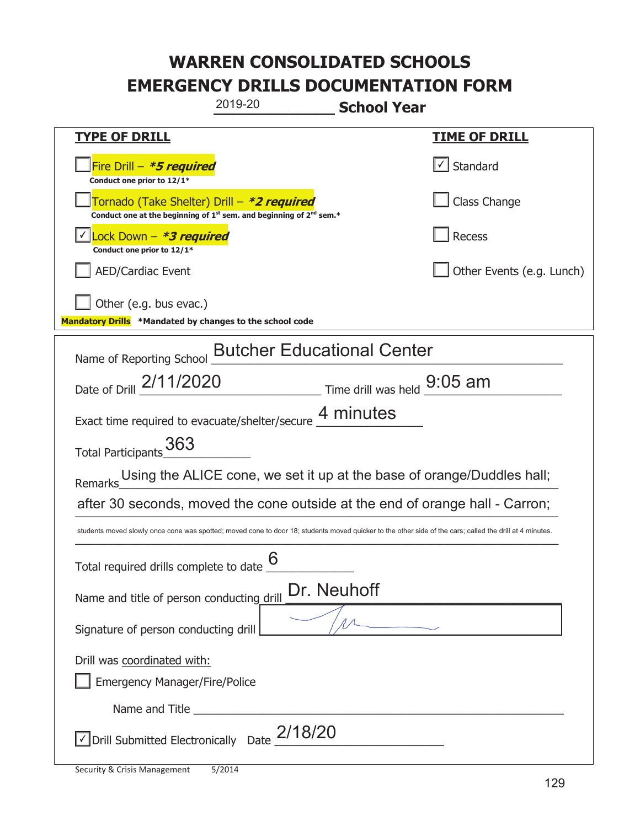| 2019-20<br><b>School Year</b>                                                                                                                            |                           |  |
|----------------------------------------------------------------------------------------------------------------------------------------------------------|---------------------------|--|
| <b>TYPE OF DRILL</b>                                                                                                                                     | <b>TIME OF DRILL</b>      |  |
| Fire Drill - *5 required<br>Conduct one prior to 12/1*                                                                                                   | Standard                  |  |
| Tornado (Take Shelter) Drill – *2 required<br>Conduct one at the beginning of $1^{st}$ sem. and beginning of $2^{nd}$ sem.*                              | Class Change              |  |
| Lock Down - <b>*3 required</b><br>Conduct one prior to 12/1*                                                                                             | <b>Recess</b>             |  |
| <b>AED/Cardiac Event</b>                                                                                                                                 | Other Events (e.g. Lunch) |  |
| Other (e.g. bus evac.)<br>Mandatory Drills *Mandated by changes to the school code                                                                       |                           |  |
| Name of Reporting School <b>Butcher Educational Center</b>                                                                                               |                           |  |
| Date of Drill 2/11/2020 Time drill was held 9:05 am                                                                                                      |                           |  |
| Exact time required to evacuate/shelter/secure 4 minutes                                                                                                 |                           |  |
| Total Participants 363                                                                                                                                   |                           |  |
| Using the ALICE cone, we set it up at the base of orange/Duddles hall;<br>Remarks                                                                        |                           |  |
| after 30 seconds, moved the cone outside at the end of orange hall - Carron;                                                                             |                           |  |
| students moved slowly once cone was spotted; moved cone to door 18; students moved quicker to the other side of the cars; called the drill at 4 minutes. |                           |  |
| 6<br>Total required drills complete to date                                                                                                              |                           |  |
| Dr. Neuhoff<br>Name and title of person conducting drill                                                                                                 |                           |  |
| Signature of person conducting drill                                                                                                                     |                           |  |
| Drill was coordinated with:<br>Emergency Manager/Fire/Police                                                                                             |                           |  |
| Name and Title <b>Example 2018</b> Name and Title <b>Example 2018</b>                                                                                    |                           |  |
| $\vee$ Drill Submitted Electronically Date $_2$ 2/18/20                                                                                                  |                           |  |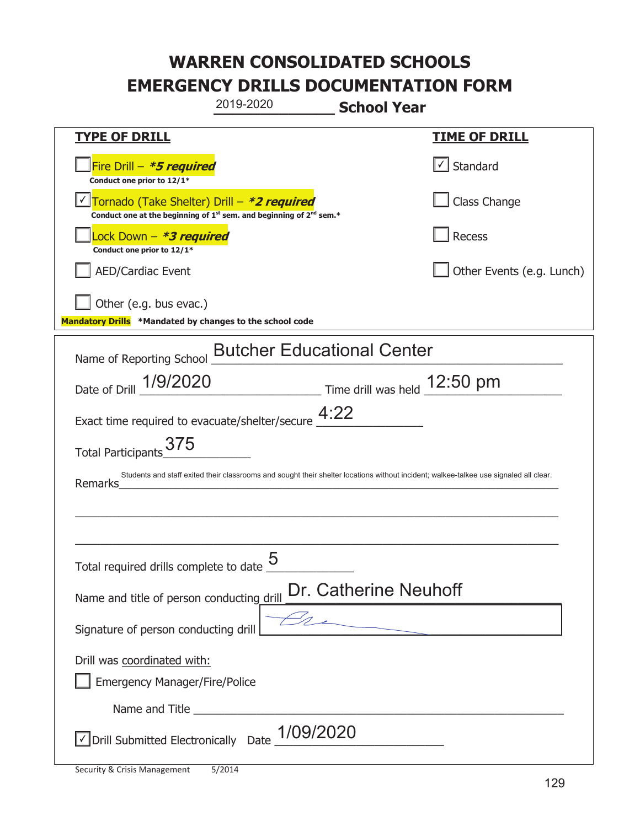|                                                                                    | 2019-2020                                                                                   | <b>School Year</b>    |                                                                                                                                       |
|------------------------------------------------------------------------------------|---------------------------------------------------------------------------------------------|-----------------------|---------------------------------------------------------------------------------------------------------------------------------------|
| <b>TYPE OF DRILL</b>                                                               |                                                                                             |                       | <u>TIME OF DRILL</u>                                                                                                                  |
| Fire Drill - *5 required<br>Conduct one prior to 12/1*                             |                                                                                             |                       | $\cup$ Standard                                                                                                                       |
| Tornado (Take Shelter) Drill – *2 required                                         | Conduct one at the beginning of 1 <sup>st</sup> sem. and beginning of 2 <sup>nd</sup> sem.* |                       | Class Change                                                                                                                          |
| Lock Down – <b>*3 required</b><br>Conduct one prior to 12/1*                       |                                                                                             |                       | Recess                                                                                                                                |
| <b>AED/Cardiac Event</b>                                                           |                                                                                             |                       | Other Events (e.g. Lunch)                                                                                                             |
| Other (e.g. bus evac.)<br>Mandatory Drills *Mandated by changes to the school code |                                                                                             |                       |                                                                                                                                       |
| Name of Reporting School <b>Butcher Educational Center</b>                         |                                                                                             |                       |                                                                                                                                       |
| Date of Drill 1/9/2020                                                             | $\frac{12:50 \text{ pm}}{2}$ Time drill was held $\frac{12:50 \text{ pm}}{2}$               |                       |                                                                                                                                       |
| Exact time required to evacuate/shelter/secure $4:22$                              |                                                                                             |                       |                                                                                                                                       |
| Total Participants 375                                                             |                                                                                             |                       |                                                                                                                                       |
| Remarks                                                                            |                                                                                             |                       | Students and staff exited their classrooms and sought their shelter locations without incident; walkee-talkee use signaled all clear. |
|                                                                                    |                                                                                             |                       |                                                                                                                                       |
|                                                                                    |                                                                                             |                       |                                                                                                                                       |
| Total required drills complete to date                                             | Γ                                                                                           |                       |                                                                                                                                       |
| Name and title of person conducting drill                                          |                                                                                             | Dr. Catherine Neuhoff |                                                                                                                                       |
| Signature of person conducting drill                                               |                                                                                             |                       |                                                                                                                                       |
| Drill was coordinated with:<br><b>Emergency Manager/Fire/Police</b>                |                                                                                             |                       |                                                                                                                                       |
|                                                                                    |                                                                                             |                       |                                                                                                                                       |
| √ Drill Submitted Electronically Date                                              | 1/09/2020                                                                                   |                       |                                                                                                                                       |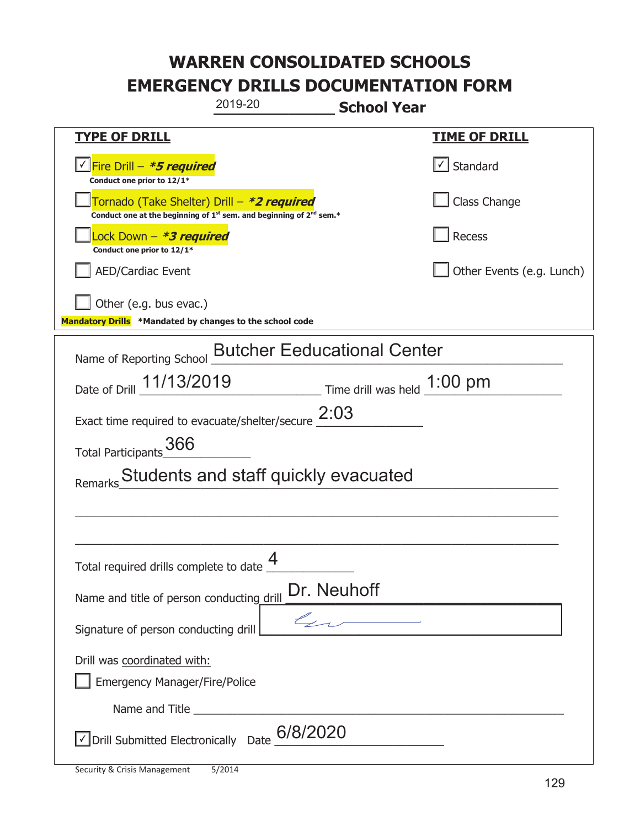| 2019-20<br><b>School Year</b>                                                                                                             |                           |
|-------------------------------------------------------------------------------------------------------------------------------------------|---------------------------|
| <b>TYPE OF DRILL</b>                                                                                                                      | <u>TIME OF DRILL</u>      |
| <u>√ Fire Drill – <i>*5 required</i></u><br>Conduct one prior to 12/1*                                                                    | Standard                  |
| Tornado (Take Shelter) Drill – *2 required<br>Conduct one at the beginning of 1 <sup>st</sup> sem. and beginning of 2 <sup>nd</sup> sem.* | Class Change              |
| ock Down – <b>*<i>3 required</i></b><br>Conduct one prior to 12/1*                                                                        | Recess                    |
| <b>AED/Cardiac Event</b>                                                                                                                  | Other Events (e.g. Lunch) |
| Other (e.g. bus evac.)<br>Mandatory Drills *Mandated by changes to the school code                                                        |                           |
| <b>Butcher Eeducational Center</b><br>Name of Reporting School                                                                            |                           |
| Date of Drill 11/13/2019 Time drill was held 1:00 pm                                                                                      |                           |
| Exact time required to evacuate/shelter/secure $2:03$                                                                                     |                           |
| Total Participants 366                                                                                                                    |                           |
| Students and staff quickly evacuated                                                                                                      |                           |
|                                                                                                                                           |                           |
|                                                                                                                                           |                           |
| Δ<br>Total required drills complete to date $\frac{4}{1}$                                                                                 |                           |
| Dr. Neuhoff<br>Name and title of person conducting drill                                                                                  |                           |
| $\mathcal{L}_{\mathcal{L}}$<br>Signature of person conducting drill                                                                       |                           |
| Drill was coordinated with:<br><b>Emergency Manager/Fire/Police</b>                                                                       |                           |
| Name and Title <b>Name and Title</b>                                                                                                      |                           |
| $\sqrt{\frac{1}{100}}$ Drill Submitted Electronically Date $\frac{6}{8}/2020$                                                             |                           |

T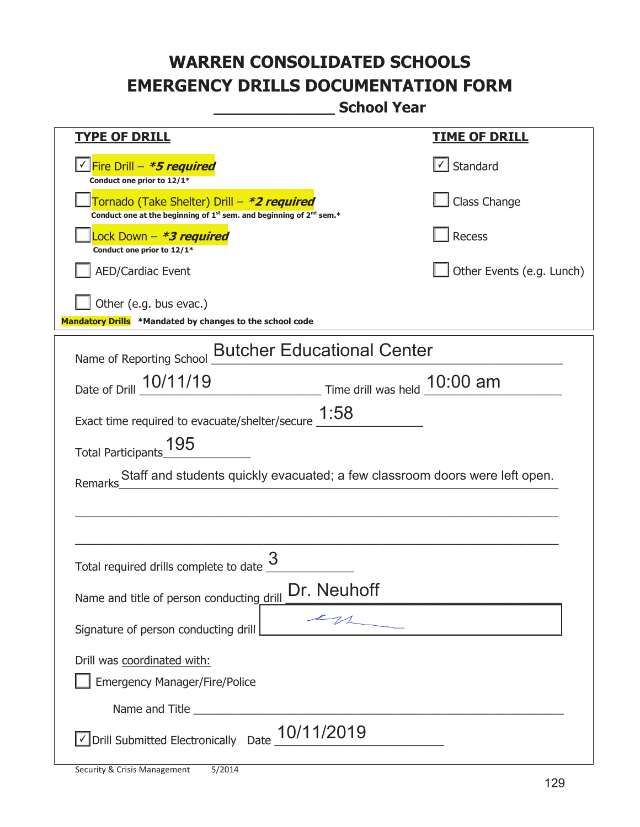**\_\_\_\_\_\_\_\_\_\_\_\_\_ School Year** 

| <u>TYPE OF DRILL</u>                                                                                                                                                                                                                 | <u>TIME OF DRILL</u>      |  |
|--------------------------------------------------------------------------------------------------------------------------------------------------------------------------------------------------------------------------------------|---------------------------|--|
| Fire Drill – <i>*<b>5 required</b></i><br>Conduct one prior to 12/1*                                                                                                                                                                 | $\cup$ Standard           |  |
| Tornado (Take Shelter) Drill – *2 required<br>Conduct one at the beginning of 1 <sup>st</sup> sem. and beginning of 2 <sup>nd</sup> sem.*                                                                                            | Class Change              |  |
| Lock Down - *3 required<br>Conduct one prior to 12/1*                                                                                                                                                                                | Recess                    |  |
| <b>AED/Cardiac Event</b>                                                                                                                                                                                                             | Other Events (e.g. Lunch) |  |
| Other (e.g. bus evac.)<br>Mandatory Drills *Mandated by changes to the school code                                                                                                                                                   |                           |  |
|                                                                                                                                                                                                                                      |                           |  |
| <b>Butcher Educational Center</b><br>Name of Reporting School                                                                                                                                                                        |                           |  |
| Date of Drill _ 10/11/19<br>Time drill was held 10:00 am                                                                                                                                                                             |                           |  |
| Exact time required to evacuate/shelter/secure $\underline{1:58}$                                                                                                                                                                    |                           |  |
| 195<br><b>Total Participants</b>                                                                                                                                                                                                     |                           |  |
| Staff and students quickly evacuated; a few classroom doors were left open.<br>Remarks                                                                                                                                               |                           |  |
|                                                                                                                                                                                                                                      |                           |  |
|                                                                                                                                                                                                                                      |                           |  |
| Total required drills complete to date                                                                                                                                                                                               |                           |  |
| Dr. Neuhoff<br>Name and title of person conducting drill                                                                                                                                                                             |                           |  |
| 21<br>Signature of person conducting drill                                                                                                                                                                                           |                           |  |
| Drill was coordinated with:                                                                                                                                                                                                          |                           |  |
| <b>Emergency Manager/Fire/Police</b>                                                                                                                                                                                                 |                           |  |
| Name and Title <b>contract the contract of the series of the contract of the contract of the contract of the contract of the contract of the contract of the contract of the contract of the contract of the contract of the con</b> |                           |  |
| $\overline{\text{C}}$ Drill Submitted Electronically Date $\_$ 10/11/2019                                                                                                                                                            |                           |  |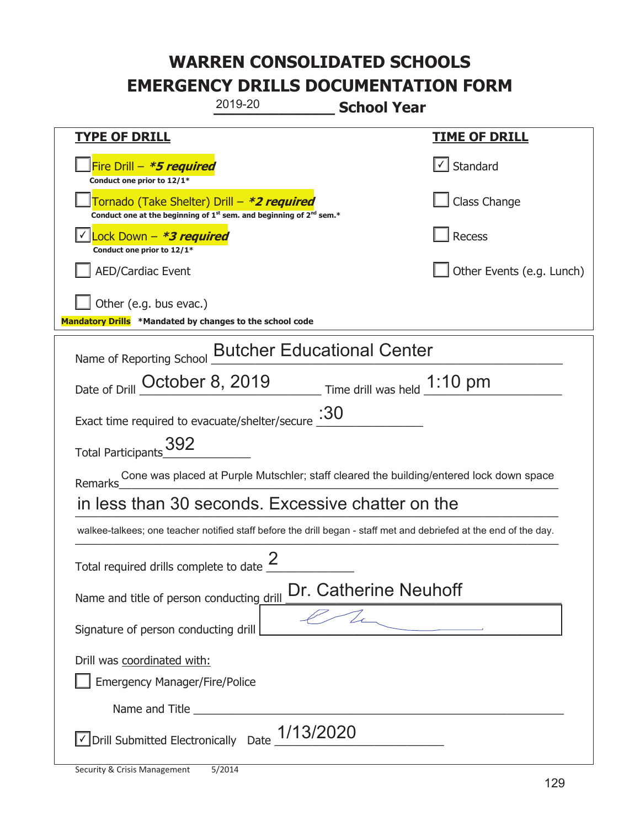| 2019-20                                                                                                                                   | <b>School Year</b>        |  |
|-------------------------------------------------------------------------------------------------------------------------------------------|---------------------------|--|
| <b>TYPE OF DRILL</b>                                                                                                                      | <u>TIME OF DRILL</u>      |  |
| Fire Drill – <i>*<b>5 required</b></i><br>Conduct one prior to 12/1*                                                                      | √ Standard                |  |
| Tornado (Take Shelter) Drill – *2 required<br>Conduct one at the beginning of 1 <sup>st</sup> sem. and beginning of 2 <sup>nd</sup> sem.* | Class Change              |  |
| Lock Down - *3 required<br>Conduct one prior to 12/1*                                                                                     | Recess                    |  |
| <b>AED/Cardiac Event</b>                                                                                                                  | Other Events (e.g. Lunch) |  |
| Other (e.g. bus evac.)<br>Mandatory Drills *Mandated by changes to the school code                                                        |                           |  |
| Name of Reporting School <b>Butcher Educational Center</b>                                                                                |                           |  |
| Date of Drill October 8, 2019 Time drill was held 1:10 pm                                                                                 |                           |  |
| Exact time required to evacuate/shelter/secure $\frac{.30}{.}$                                                                            |                           |  |
| Total Participants 392                                                                                                                    |                           |  |
| Cone was placed at Purple Mutschler; staff cleared the building/entered lock down space<br>Remarks                                        |                           |  |
| in less than 30 seconds. Excessive chatter on the                                                                                         |                           |  |
| walkee-talkees; one teacher notified staff before the drill began - staff met and debriefed at the end of the day.                        |                           |  |
| Total required drills complete to date $\frac{2}{3}$                                                                                      |                           |  |
| Dr. Catherine Neuhoff<br>Name and title of person conducting drill                                                                        |                           |  |
| Signature of person conducting drill                                                                                                      |                           |  |
| Drill was coordinated with:<br><b>Emergency Manager/Fire/Police</b>                                                                       |                           |  |
|                                                                                                                                           |                           |  |
| $\sqrt{\text{Drill}}$ Submitted Electronically Date $\frac{1/13/2020}{\sqrt{\text{Drill}}}$                                               |                           |  |